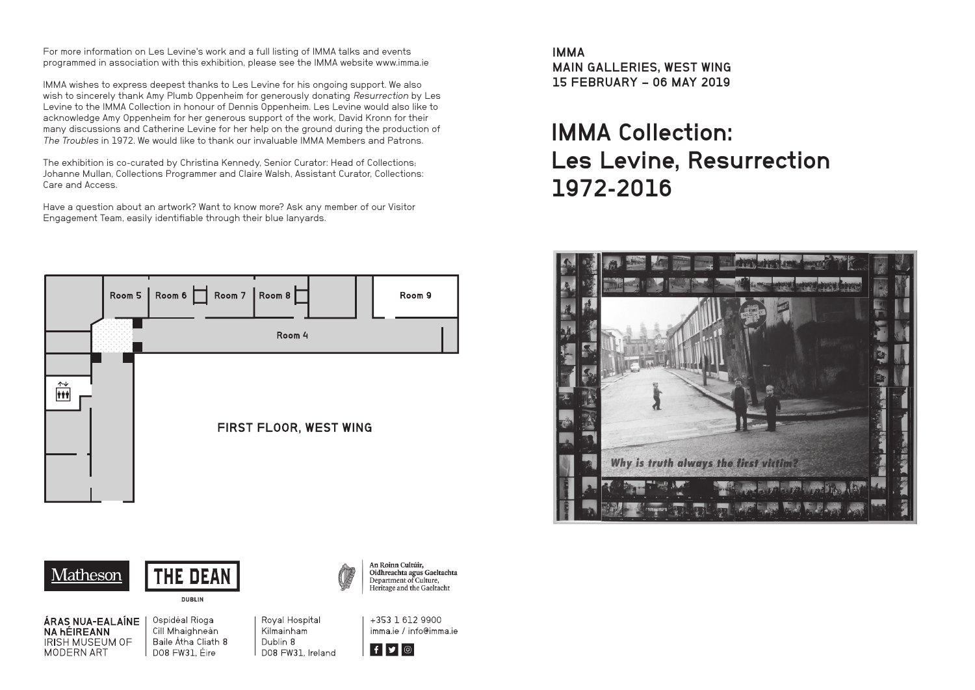For more information on Les Levine's work and a full listing of IMMA talks and events programmed in association with this exhibition, please see the IMMA website www.imma.ie

IMMA wishes to express deepest thanks to Les Levine for his ongoing support. We also wish to sincerely thank Amy Plumb Oppenheim for generously donating Resurrection by Les Levine to the IMMA Collection in honour of Dennis Oppenheim. Les Levine would also like to acknowledge Amy Oppenheim for her generous support of the work, David Kronn for their many discussions and Catherine Levine for her help on the ground during the production of The Troubles in 1972. We would like to thank our invaluable IMMA Members and Patrons.

The exhibition is co-curated by Christina Kennedy, Senior Curator: Head of Collections; Johanne Mullan, Collections Programmer and Claire Walsh, Assistant Curator, Collections: Care and Access.

Have a question about an artwork? Want to know more? Ask any member of our Visitor Engagement Team, easily identifiable through their blue lanyards.



Matheson



**DUBLIN** 

An Roinn Cultúir, Oidhreachta agus Gaeltachta Department of Culture, Heritage and the Gaeltacht

ÁRAS NUA-EALAÍNE **NA hÉIREANN IRISH MUSEUM OF** MODERN ART

Ospidéal Rioga Cill Mhaighneán Baile Átha Cliath 8 D08 FW31. Fire

Roval Hospital Kilmainham Dublin 8 D08 FW31, Ireland +353 1 612 9900 imma je / info@imma je



IMMA MAIN GALLERIES, WEST WING 15 FEBRUARY – 06 MAY 2019

## IMMA Collection: Les Levine, Resurrection 1972-2016